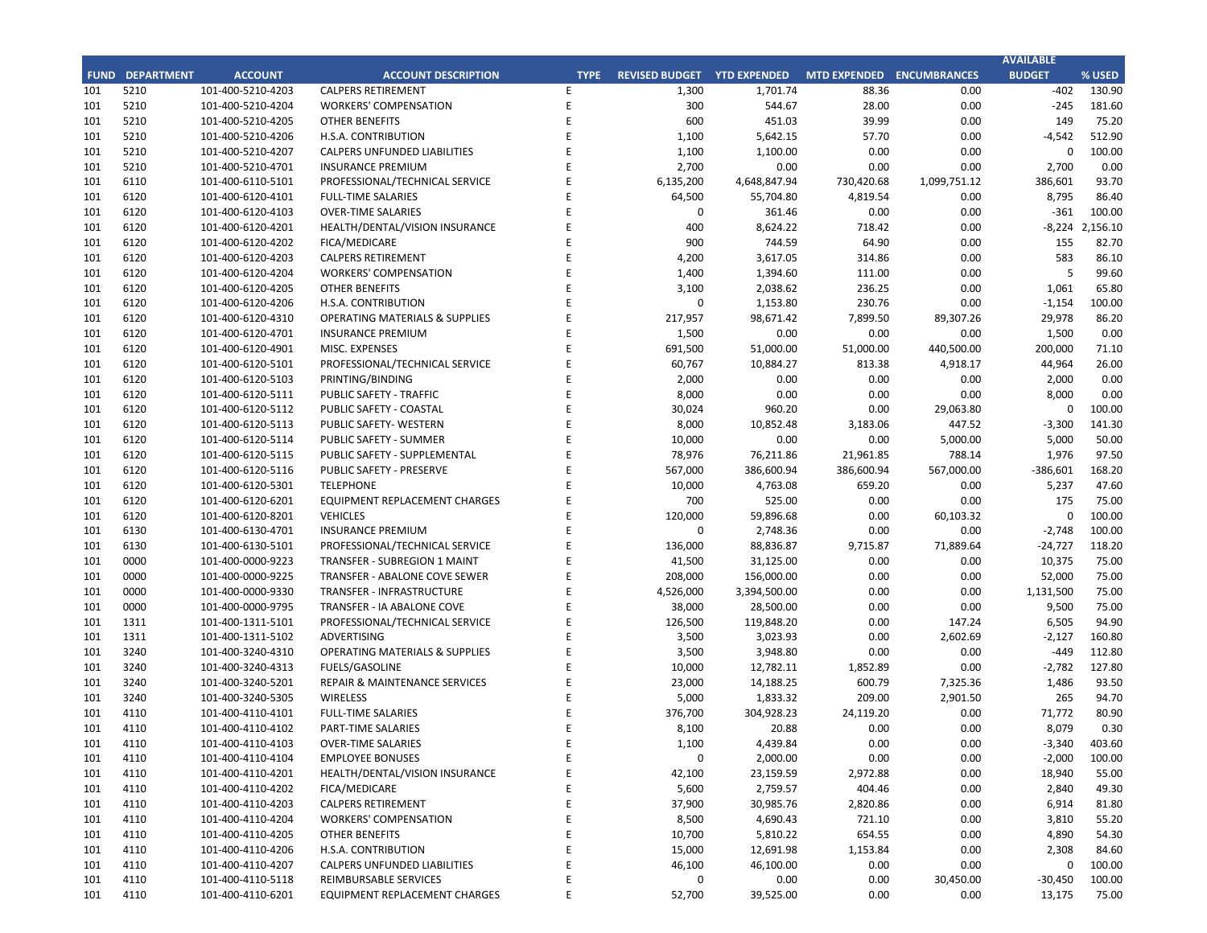|             |                                     |                       |             | FY 2018-19         |                    |                      |             |                       |                              |            |
|-------------|-------------------------------------|-----------------------|-------------|--------------------|--------------------|----------------------|-------------|-----------------------|------------------------------|------------|
| <b>FUND</b> | <b>FUND DESCRIPTION</b>             | <b>REVISED BUDGET</b> |             | <b>YTD ACTUALS</b> | <b>YTD ENCUMB.</b> | <b>YTD ACTUALS +</b> | <b>USED</b> | <b>YTD ACTUALS +</b>  | <b>YEAR OVER YEAR CHANGE</b> |            |
|             |                                     |                       |             |                    |                    | <b>ENCUMB.</b>       |             | <b>ENCUMB.</b>        | <b>ACTUALS + ENCUMB.</b>     |            |
| <b>101</b>  | <b>GENERAL FUND</b>                 |                       |             |                    |                    |                      |             |                       |                              |            |
|             | <b>CITY COUNCIL</b>                 | \$<br>150,300         |             | \$<br>$85,465$ \$  | $8,091$ \$         | 93,555               | 62.2%       | 97,968<br>$\varsigma$ | \$<br>(4, 413)               | $-4.5%$    |
|             | <b>LEGAL SERVICES</b>               | 925,000               |             | 880,307            | $\mathbf 0$        | 880,307              | 95.2%       | 1,001,041             | (120, 733)                   | $-12.1%$   |
|             | <b>CITY CLERK</b>                   | 524,200               |             | 400,138            | 1,994              | 402,132              | 76.7%       | 556,296               | (154, 164)                   | $-27.7%$   |
|             | <b>CITY MANAGER</b>                 | 852,500               |             | 716,266            | 8,846              | 725,112              | 85.1%       | 831,716               | (106, 604)                   | $-12.8%$   |
|             | <b>CITY ADMINISTRATION</b>          | 494,700               |             | 315,603            | 32,995             | 348,599              | 70.5%       | 393,179               | (44,580)                     | $-11.3%$   |
|             | <b>HUMAN RESOURCES</b>              | 406,100               |             | 285,543            | 5,607              | 291,149              | 71.7%       | 336,421               | (45, 272)                    | $-13.5%$   |
|             | <b>INFORMATION TECHNOLOGIES</b>     | 1,175,613             |             | 945,578            | 86,750             | 1,032,328            | 87.8%       | 1,047,347             | (15,019)                     | $-1.4%$    |
|             | <b>FINANCE</b>                      | 1,604,600             |             | 1,342,336          | 16,162             | 1,358,497            | 84.7%       | 1,228,522             | 129,976                      | 10.6%      |
|             | <b>PUBLIC WORKS</b>                 | 6,155,906             |             | 4,055,474          | 1,322,723          | 5,378,198            | 87.4%       | 4,519,740             | 858,457                      | 19.0%      |
|             | <b>COMMUNITY DEVELOPMENT</b>        | 3,801,538             |             | 2,707,104          | 345,944            | 3,053,048            | 80.3%       | 2,744,364             | 308,684                      | 11.2%      |
|             | <b>RECREATIONAL &amp; PARKS</b>     | 2,920,600             |             | 2,393,963          | 65,570             | 2,459,534            | 84.2%       | 2,211,156             | 248,378                      | 11.2%      |
|             | <b>PUBLIC SAFETY</b>                | 7,291,459             |             | 5,952,808          | 1,212,110          | 7,164,918            | 98.3%       | 7,719,732             | (554, 814)                   | $-7.2%$    |
|             | NON-DEPARTMENTAL                    | 1,112,541             |             | 962,524            | 68,313             | 1,030,837            | 92.7%       | 987,189               | 43,648                       | 4.4%       |
|             | <b>TRANSFERS OUT</b>                | 4,564,700             |             | 3,423,525          | $\mathbf 0$        | 3,423,525            | 75.0%       | 3,610,125             | (186, 600)                   | $-5.2%$    |
|             | <b>TOTAL GENERAL FUND</b>           | 31,979,756            |             | 24,466,635         | 3,175,104          | 27,641,740           | 86.4%       | 27,284,797            | 356,943                      | 1.3%       |
|             |                                     |                       |             |                    |                    |                      |             |                       |                              |            |
| <b>200</b>  | <b>SPECIAL REVENUE FUNDS</b>        |                       |             |                    |                    |                      |             |                       |                              |            |
|             | 202 STREET MAINTENANCE              | 1,634,786             |             | 688,827            | 215,008            | 903,835              | 55.3%       | 1,659,464             | (755, 628)                   | $-45.5%$   |
|             | 203 1972 ACT LANDSCAPING & LIGHTING |                       | $\mathbf 0$ | 0                  | $\mathbf 0$        | $\mathbf 0$          | 0.0%        | 1,309                 | (1,309)                      | $-100.0\%$ |
|             | 209 EL PRADO LIGHTING DISTRICT      |                       | 800         | 539                | 27                 | 566                  | 70.7%       | 548                   | 18                           | 3.2%       |
|             | 211 1911 ACT STREET LIGHTING        | 2,223,447             |             | 1,296,723          | 665,692            | 1,962,415            | 88.3%       | 1,024,566             | 937,849                      | 91.5%      |
|             | 212 BEAUTIFICATION                  | 405,585               |             | 385,887            | 0                  | 385,887              | 95.1%       | 42,320                | 343,567                      | 811.8%     |
|             | 213 WASTE REDUCTION                 | 317,100               |             | 182,798            | 41,782             | 224,580              | 70.8%       | 244,831               | (20, 252)                    | $-8.3%$    |
|             | 214 AIR QUALITY MANAGEMENT          | 50,000                |             | 50,000             | $\mathbf 0$        | 50,000               | 100.0%      | 50,000                | $\mathbf 0$                  | 0.0%       |
|             | 215 PROPOSITION C                   | 1,100,000             |             | 255,376            | 420,404            | 675,780              | 61.4%       | 600,000               | 75,780                       | 12.6%      |
|             | 216 PROPOSITION A                   | 1,249,282             |             | 717,687            | 10,555             | 728,242              | 58.3%       | 931,396               | (203, 154)                   | $-21.8%$   |
| 217         | <b>PUBLIC SAFETY GRANTS</b>         | 130,000               |             | 97,500             | $\mathbf 0$        | 97,500               | 75.0%       | 105,000               | (7,500)                      | $-7.1%$    |
|             | 220 MEASURE R                       | 2,550,000             |             | 2,218,567          | 164,845            | 2,383,412            | 93.5%       | $\mathbf 0$           | 2,383,412                    | 0.0%       |
|             | 221 MEASURE M                       | 536,000               |             | 502,199            | 61,865             | 564,064              | 105.2%      | 498,206               | 65,858                       | 13.2%      |
|             | 222 HABITAT RESTORATION             | 179,500               |             | 149,499            | 4                  | 149,503              | 83.3%       | 180,633               | (31, 130)                    | $-17.2%$   |
|             | 223 SUBREGION ONE MAINTENANCE       |                       | 46,800      | 37,951             | 1,379              | 39,329               | 84.0%       | 36,339                | 2,991                        | 8.2%       |
|             | 224 MEASURE A MAINTENANCE           | 90,000                |             | 67,500             | $\boldsymbol{0}$   | 67,500               | 75.0%       | 67,500                | $\mathbf 0$                  | 0.0%       |
|             | 225 ABALONE COVE SEWER DISTRICT     | 431,906               |             | 45,627             | 4,981              | 50,608               | 11.7%       | 121,482               | (70, 874)                    | $-58.3%$   |

## **CITY OF RANCHO PALOS VERDES SUMMARY OF EXPENDITURES - ALL FUNDS May 31, 2019**